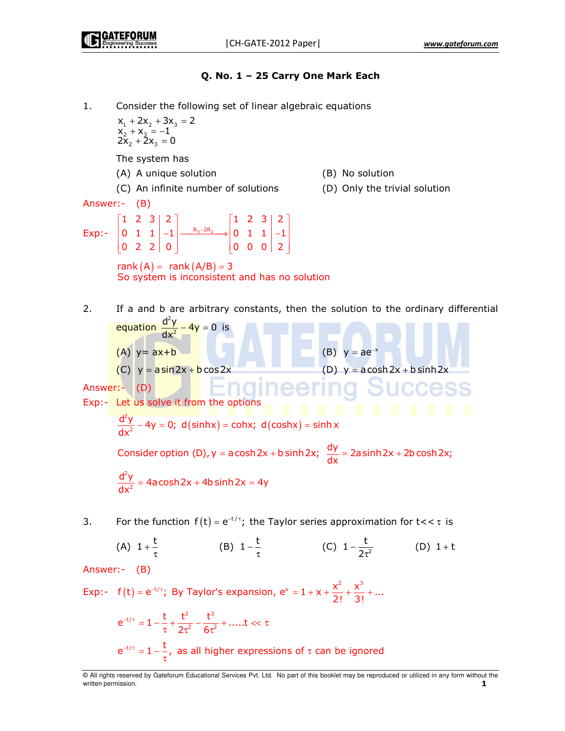Q. No. 1 – 25 Carry One Mark Each -Consider the following set of linear algebraic equations  $x_1 + 2x_2 + 3x_3 = 2$  $+ 2x_2 + 3x_3 =$  $1 + 2\lambda_2 + 3\lambda_3$  $x_2 + x_3 = -1$  $+ X_3 = -$ 2  $^{1}$   $^{2}$  $2x_2 + 2x_3 = 0$  $+ 2x_3 =$ 2  $-$ 3 The system has (A) A unique solution (B) No solution (D) Only the trivial solution (C) An infinite number of solutions (D) Only the Answer:- (B)  $\begin{bmatrix} 1 & 2 & 3 & 2 \ 0 & 1 & 1 & -1 \end{bmatrix}$   $\begin{bmatrix} 1 & 2 & 3 & 2 \ -8_3 - 2R_2 & 0 & 1 & 1 & -1 \end{bmatrix}$  $1 \t2 \t3 \t2 \t| 1 \t2 \t3 \t2$  $Exp: \begin{array}{|c|c|c|c|c|c|c|} \hline 0 & 1 & 1 & -1 & \frac{R_3-2R_2}{2} \ \hline \end{array}$ − 0 1 1  $|-1| \xrightarrow{\kappa_3-2\kappa_2} |0 \t1 \t1 |-1$  $\begin{bmatrix} 0 & 2 & 2 & 0 \end{bmatrix} \qquad \qquad \begin{bmatrix} 0 & 0 & 0 & 2 \end{bmatrix}$ 0 2 2 | 0 | 0 | 0 | 0 | 2  $rank(A) = rank(A/B) = 3$ So system is inconsistent and has no solution  $2.$ If a and b are arbitrary constants, then the solution to the ordinary differential equation  $\frac{d^2}{dx^2}$  $\frac{d^2y}{dx^2} - 4y = 0$ <mark>− 4y</mark> = 0 is  $\overline{\mathbf{c}}$  $dx$  $(A)$   $y = ax + b$  $y = ae^{-x}$  $(C)$   $y = \frac{\text{asin} 2x + \text{b} \cos 2x}{\text{cos} 2x + \text{b} \sinh 2x}$ າα Success Answer:- (D) Exp:- Let us solve it from the options 2  $\frac{d^2y}{dx^2}$  – 4y = 0; d(sinhx) = cohx; d(coshx) = sinh x − = = =  $(sinhx) = cohx; d(coshx)$ 2 dx Consider option (D),  $y = a \cosh 2x + b \sinh 2x$ ;  $\frac{dy}{dx} = 2a \sinh 2x + 2b \cosh 2x$ ;  $\overline{c}$  $\frac{d^2y}{dx^2} = 4a \cosh 2x + 4b \sinh 2x = 4y$ = + = 2 dx 3. For the function  $f(t) = e^{-t/\tau}$ ; the Taylor series approximation for  $t < \tau$  is (A)  $1 + \frac{t}{\tau}$ (B)  $1 - \frac{t}{\tau}$  $1-\frac{t}{2}$ (C)  $1-\frac{c}{2\pi^2}$ − (D)  $1 + t$ 2 τ Answer:- (B) Exp:-  $f(t) = e^{-t/\tau}$ ; By Taylor's expansion,  $e^x = 1 + x + \frac{x^2}{2!} + \frac{x^3}{3!} + ...$  $= e^{-t/\tau}$ ; By Taylor's expansion,  $e^{x} = 1 + x + \frac{1}{2} + \frac{1}{3} + \frac{1}{4}$  $t/\tau$   $\sim$  1  $t$   $\sim$   $t^2$   $\sim$   $t^3$  $e^{-t/\tau} = 1 - \frac{t}{\tau} + \frac{t^2}{2} - \frac{t^3}{3} + \dots$  $-$ <sup>-t/τ</sup> = 1 −  $\frac{1}{\tau} + \frac{1}{2\tau^2} - \frac{1}{6\tau^2} + \dots$ ... t << τ<br>  $-$ <sup>-t/τ</sup> − 1  $\frac{1}{\tau}$  as all bigbor express τ 2τ<sup>2</sup> 6τ 2  $\epsilon^{-2}$  $2\tau^2$  6  $e^{-t/\tau} = 1 - \frac{t}{\tau}$ , as all higher expressions of  $\tau$  can be ignored

<sup>©</sup> All rights reserved by Gateforum Educational Services Pvt. Ltd. No part of this booklet may be reproduced or utilized in any form without the written permission.  $\blacksquare$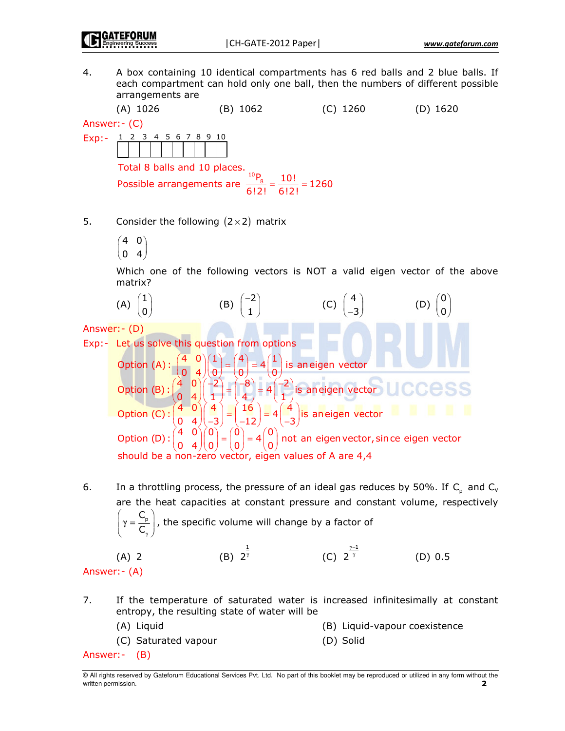$4.$ A box containing 10 identical compartments has 6 red balls and 2 blue balls. If each compartment can hold only one ball, then the numbers of different possible arrangements are

 $(A)$  1026  $(B) 1062$  $(C)$  1260  $(D)$  1620

Answer: - (C)

Exp:- 1 2 3 4 5 6 7 8 9 10

Total 8 balls and 10 places.

Fotal 8 balls and 10 places.<br>Possible arrangements are  $\frac{{}^{10}P_8}{{}^{6121}} = \frac{10!}{6!2!} = 1260$ 

- 5. Consider the following  $(2 \times 2)$  matrix
	- $(4 \ 0)$  $(0, 4)$

Which one of the following vectors is NOT a valid eigen vector of the above matrix?



6. In a throttling process, the pressure of an ideal gas reduces by 50%. If  $C_n$  and  $C_v$ are the heat capacities at constant pressure and constant volume, respectively  $\left(\gamma = \frac{C_p}{C}\right)$ , the specific volume will change by a factor of

(C)  $2^{\frac{\gamma-1}{\gamma}}$ (B)  $2^{\frac{1}{\gamma}}$  $(A)$  2  $(D) 0.5$ 

- Answer: (A)
- $7.$ If the temperature of saturated water is increased infinitesimally at constant entropy, the resulting state of water will be

(A) Liquid (B) Liquid-vapour coexistence

(C) Saturated vapour (D) Solid

Answer:- (B)

<sup>@</sup> All rights reserved by Gateforum Educational Services Pvt. Ltd. No part of this booklet may be reproduced or utilized in any form without the written permission.  $\overline{\phantom{a}}$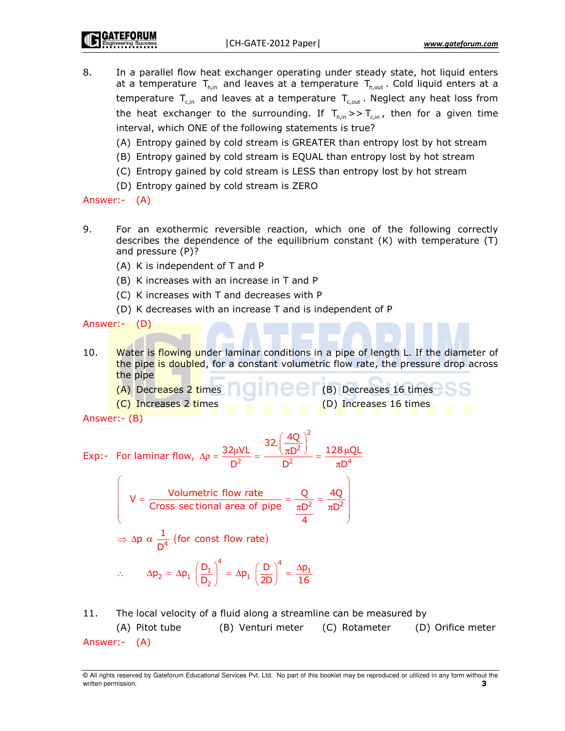8. In a parallel flow heat exchanger operating under steady state, hot liquid enters at a temperature  $T_{h,in}$  and leaves at a temperature  $T_{h,out}$ . Cold liquid enters at a temperature  $T_{\text{c,in}}$  and leaves at a temperature  $T_{\text{c,out}}$ . Neglect any heat loss from the heat exchanger to the surrounding. If  $T_{\text{h,in}} >> T_{\text{c,in}}$ , then for a given time interval, which ONE of the following statements is true?

(A) Entropy gained by cold stream is GREATER than entropy lost by hot stream

- (B) Entropy gained by cold stream is EQUAL than entropy lost by hot stream
- (C) Entropy gained by cold stream is LESS than entropy lost by hot stream
- (D) Entropy gained by cold stream is ZERO

Answer:- (A)

- 9. For an exothermic reversible reaction, which one of the following correctly describes the dependence of the equilibrium constant  $(K)$  with temperature  $(T)$ and pressure (P)?
	- (A) K is independent of T and P
	- (B) K increases with an increase in T and P
	- (C) K increases with T and decreases with P
	- (D) K decreases with an increase T and is independent of P

Answer:- (D)

 $10.$ Water is flowing under laminar conditions in a pipe of length L. If the diameter of the pipe is doubled, for a constant volumetric flow rate, the pressure drop across the pipe

(B) Decreases 16 times

(D) Increases 16 times

- (A) Decreases 2 times
- (C) Increases 2 times

Answer: - (B)

Exp:- For laminar flow, Δρ = 
$$
\frac{32\mu VL}{D^2}
$$
 =  $\frac{32(\frac{4Q}{\pi D^2})^2}{D^2}$  =  $\frac{128\mu QL}{\pi D^4}$   
\n
$$
V = \frac{\text{Volumetric flow rate}}{\text{Cross sectional area of pipe}} = \frac{Q}{\pi D^2} = \frac{4Q}{\pi D^2}
$$
\n⇒ Δp α  $\frac{1}{D^4}$  (for const flow rate)  
\n∴ Δp<sub>2</sub> = Δp<sub>1</sub>  $\left(\frac{D_1}{D_2}\right)^4$  = Δp<sub>1</sub>  $\left(\frac{D}{2D}\right)^4 = \frac{\Delta p_1}{16}$ 

11. The local velocity of a fluid along a streamline can be measured by (A) Pitot tube (B) Venturi meter (C) Rotameter (D) Orifice meter Answer:- (A)

<sup>@</sup> All rights reserved by Gateforum Educational Services Pvt. Ltd. No part of this booklet may be reproduced or utilized in any form without the written permission. 3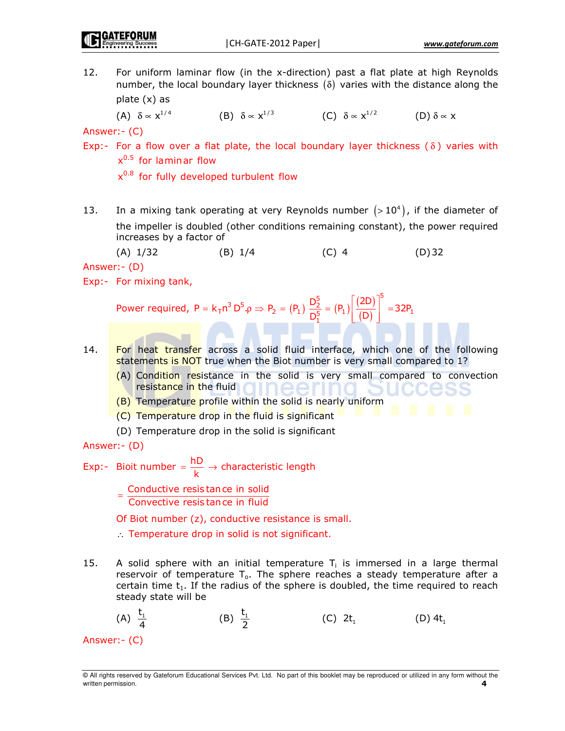12. For uniform laminar flow (in the x-direction) past a flat plate at high Reynolds number, the local boundary layer thickness  $(\delta)$  varies with the distance along the plate (x) as

(A)  $\delta \propto x^{1/4}$  $\delta \propto x^{1/4}$  (B)  $\delta \propto x^{1/3}$  (C)  $\delta \propto x^{1/2}$  (D)  $\delta \propto x$ 

Answer:- (C)

Exp:- For a flow over a flat plate, the local boundary layer thickness ( $\delta$ ) varies with x<sup>0.5</sup> for laminar flow

 $x^{0.8}$  for fully developed turbulent flow

13. In a mixing tank operating at very Reynolds number  $(>10^4)$ , if the diameter of the impeller is doubled (other conditions remaining constant), the power required increases by a factor of

 $(A)$  1/32 (B) 1/4 (C) 4 (D) 32

Answer:- (D)

Exp:- For mixing tank,

Power required,  $P = k_T n^3 D^5 \rho \Rightarrow P_2 = (P_1) \frac{D_2^3}{2^5} = (P_1) \frac{(2D)}{(D)}$ (D)  ${}_{T}$ n<sup>3</sup> D<sup>5</sup>. $\rho \Rightarrow P_2 = (P_1) \frac{D_2^5}{D_1^5} = (P_1) \left[ \frac{(2D)}{(D)} \right]^5 = 32P_1$  $P = k_T n^3 D^5 \cdot \rho \Rightarrow P_2 = (P_1) \frac{D_2^5}{D_1^5} = (P_1) \left| \frac{(2D)}{(D)} \right|^2 = 32P_1$ =  $k_{\text{T}} n^3 D^5 \rho \Rightarrow P_2 = (P_1) \frac{D_2^5}{\sqrt{2}} = (P_1) \left[ \frac{(2D)}{(D)} \right]^3$  $\lfloor (D) \rfloor$ 

- 14. **For heat transfer across a solid fluid interface, which one of the following** statements is NOT true when the Biot number is very small compared to 1?
	- (A) Condition resistance in the solid is very small compared to convection resistance in the fluid neeri
	- (B) Temperature profile within the solid is nearly uniform
	- (C) Temperature drop in the fluid is significant
	- (D) Temperature drop in the solid is significant

Answer:- (D)

Exp:- Bioit number =  $\frac{\text{hD}}{\text{k}} \rightarrow$  characteristic length

Conductive resis tance in solid = Convective resistance in fluid

Of Biot number (z), conductive resistance is small.

- ∴ Temperature drop in solid is not significant.
- $15.$ A solid sphere with an initial temperature  $T_i$  is immersed in a large thermal reservoir of temperature  $T_o$ . The sphere reaches a steady temperature after a certain time  $t_1$ . If the radius of the sphere is doubled, the time required to reach steady state will be

(A) 
$$
\frac{t_1}{4}
$$
 (B)  $\frac{t_1}{2}$  (C)  $2t_1$  (D)  $4t_1$   
Answer: - (C)

<sup>©</sup> All rights reserved by Gateforum Educational Services Pvt. Ltd. No part of this booklet may be reproduced or utilized in any form without the written permission. **4**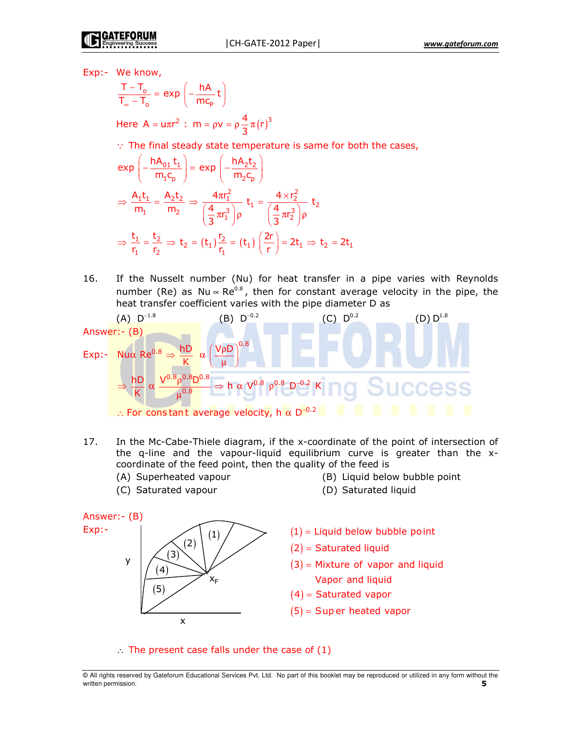Exp:- We know,

$$
\frac{T-T_o}{T_o-T_o} = \exp\left(-\frac{hA}{mc_p}t\right)
$$

Here A = uπr<sup>2</sup> : m = ρv = ρ $\frac{4}{3}$ π(r)<sup>3</sup>

 $\therefore$  The final steady state temperature is same for both the cases,

$$
\exp\left(-\frac{hA_{01}t_1}{m_1c_p}\right) = \exp\left(-\frac{hA_2t_2}{m_2c_p}\right)
$$
\n
$$
\Rightarrow \frac{A_1t_1}{m_1} = \frac{A_2t_2}{m_2} \Rightarrow \frac{4\pi r_1^2}{\left(\frac{4}{3}\pi r_1^3\right)\rho} t_1 = \frac{4 \times r_2^2}{\left(\frac{4}{3}\pi r_2^3\right)\rho} t_2
$$
\n
$$
\Rightarrow \frac{t_1}{r_1} = \frac{t_2}{r_2} \Rightarrow t_2 = (t_1)\frac{r_2}{r_1} = (t_1)\left(\frac{2r}{r}\right) = 2t_1 \Rightarrow t_2 = 2t_1
$$

16. If the Nusselt number (Nu) for heat transfer in a pipe varies with Reynolds number (Re) as Nu  $\propto$  Re<sup>0.8</sup>, then for constant average velocity in the pipe, the heat transfer coefficient varies with the pipe diameter D as

(A) D<sup>-1.8</sup>  
\nAnswer: - (B)  
\nExp: - Nua Re<sup>0.8</sup> ⇒ 
$$
\frac{hD}{K}
$$
 α  $\left(\frac{V\rho D}{\mu}\right)^{0.8}$   
\n⇒  $\frac{hD}{K}$  α  $\frac{V^{0.8} \rho^{0.8} D^{0.8}}{\mu^{0.8}}$  ⇒ h α V<sup>0.8</sup>  $\rho^{0.8}$  D<sup>-0.2</sup> K

- 17. In the Mc-Cabe-Thiele diagram, if the x-coordinate of the point of intersection of the q-line and the vapour-liquid equilibrium curve is greater than the xcoordinate of the feed point, then the quality of the feed is
	- (A) Superheate
	- (C) Saturated vapour
- d vapour  $($ B) Liquid below bubble point
- d vapour  $( D )$  Saturated liquid



 $\therefore$  The present case falls under the case of (1)

© All rights reserved by Gateforum Educational Services Pvt. Ltd. No part of this booklet may be reproduced or utilized in any form without the written permission. **5**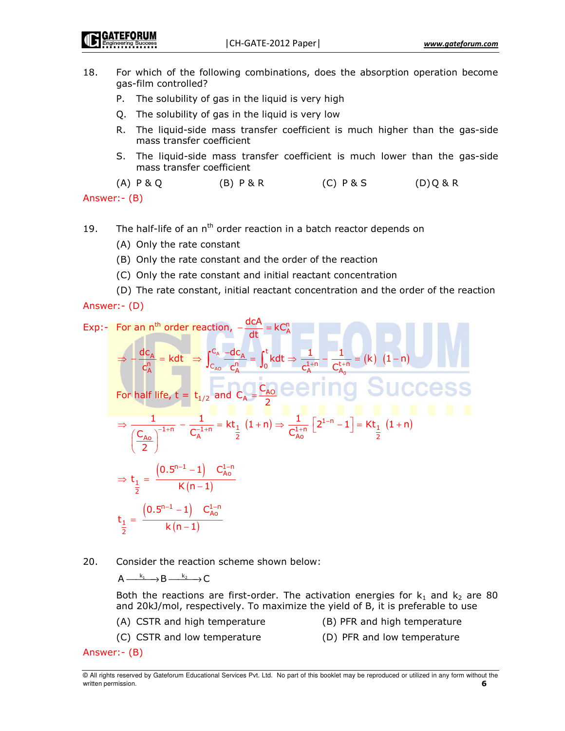- 18. For which of the following combinations, does the absorption operation become gas-film controlled?
	- P. The solubility of gas in the liquid is very high
	- Q. The solubility of gas in the liquid is very low
	- R. The liquid-side mass transfer coefficient is much higher than the gas-side mass transfer coefficient
	- S. The liquid-side mass transfer coefficient is much lower than the gas-side mass transfer coefficient
	- $(B)$   $P$  & R  $(C)$   $P & S$  $(A)$   $P$  &  $Q$  $(D)$ Q&R

Answer: - (B)

- The half-life of an n<sup>th</sup> order reaction in a batch reactor depends on 19.
	- (A) Only the rate constant
	- (B) Only the rate constant and the order of the reaction
	- (C) Only the rate constant and initial reactant concentration
- (D) The rate constant, initial reactant concentration and the order of the reaction Answer: - (D)

Exp:- For an n<sup>th</sup> order reaction,  $-\frac{dCA}{dt} = kC_A^n$  $\Rightarrow -\frac{dc_A}{c_A^n} = kdt \Rightarrow \int_{C_{A0}}^{C_A} \frac{-dc_A}{c_A^n} = \int_0^t kdt \Rightarrow \frac{1}{c_A^{1+n}} - \frac{1}{C_{b}^{1+n}} = (k) (1-n)$ For half life,  $t = t_{1/2}$  and  $c_A = \frac{c_{A0}}{2}$  eering Success ⇒  $\frac{1}{\left(\frac{C_{A0}}{2}\right)^{-1+n}} - \frac{1}{C_A^{-1+n}} = kt_{\frac{1}{2}}(1+n)$  ⇒  $\frac{1}{C_{A0}^{1+n}} [2^{1-n}-1] = kt_{\frac{1}{2}}(1+n)$  $\Rightarrow t_{\frac{1}{2}} = \frac{(0.5^{n-1} - 1) C_{A0}^{1-n}}{K(n-1)}$  $t_{\frac{1}{2}} = \frac{(0.5^{n-1} - 1) C_{A_0}^{1-n}}{k(n-1)}$ 

20. Consider the reaction scheme shown below:

 $A \xrightarrow{k_1} B \xrightarrow{k_2} C$ 

Both the reactions are first-order. The activation energies for  $k_1$  and  $k_2$  are 80 and 20kJ/mol, respectively. To maximize the yield of B, it is preferable to use

(A) CSTR and high temperature

- (B) PFR and high temperature
- (C) CSTR and low temperature
- (D) PFR and low temperature

Answer: - (B)

<sup>@</sup> All rights reserved by Gateforum Educational Services Pvt. Ltd. No part of this booklet may be reproduced or utilized in any form without the written permission. 6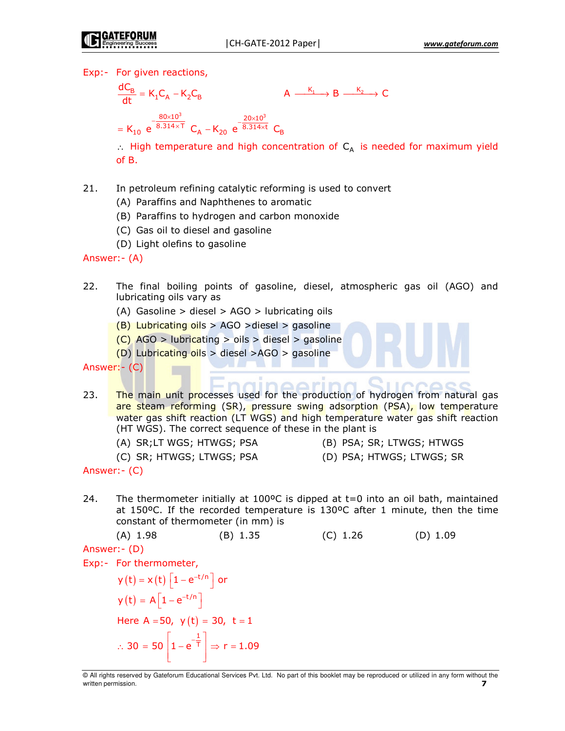Exp:- For given reactions,

 $\frac{dC_B}{dt} = K_1C_A - K_2C_B$  $A \xrightarrow{K_1} B \xrightarrow{K_2} C$ =  $K_{10}$  e  $\frac{80\times10^3}{8.314\times1}$  C<sub>A</sub> -  $K_{20}$  e  $\frac{20\times10^3}{8.314\times1}$  C<sub>B</sub>

 $\therefore$  High temperature and high concentration of C<sub>A</sub> is needed for maximum yield  $of B.$ 

- In petroleum refining catalytic reforming is used to convert  $21.$ 
	- (A) Paraffins and Naphthenes to aromatic
	- (B) Paraffins to hydrogen and carbon monoxide
	- (C) Gas oil to diesel and gasoline
	- (D) Light olefins to gasoline

Answer: - (A)

- 22. The final boiling points of gasoline, diesel, atmospheric gas oil (AGO) and lubricating oils vary as
	- (A) Gasoline  $>$  diesel  $>$  AGO  $>$  lubricating oils
	- (B) Lubricating oils > AGO > diesel > gasoline
	- $(C)$  AGO > lubricating > oils > diesel > gasoline
	- $(D)$  Lubricating oils > diesel >AGO > gasoline

```
Answer: - (C)
```
- 23. The main unit processes used for the production of hydrogen from natural gas are steam reforming (SR), pressure swing adsorption (PSA), low temperature water gas shift reaction (LT WGS) and high temperature water gas shift reaction (HT WGS). The correct sequence of these in the plant is
	- (A) SR;LT WGS; HTWGS; PSA
	- (C) SR; HTWGS; LTWGS; PSA
- (B) PSA; SR; LTWGS; HTWGS
- (D) PSA; HTWGS; LTWGS; SR

24. The thermometer initially at 100 $\degree$ C is dipped at t=0 into an oil bath, maintained at 150°C. If the recorded temperature is 130°C after 1 minute, then the time constant of thermometer (in mm) is

 $(C)$  1.26  $(A) 1.98$  $(B)$  1.35  $(D) 1.09$ 

Answer: - (D)

Exp:- For thermometer,

 $y(t) = x(t) \left[1 - e^{-t/n}\right]$  or  $y(t) = A \left[1 - e^{-t/n}\right]$ Here  $A = 50$ ,  $y(t) = 30$ ,  $t = 1$ ∴ 30 = 50  $\left[1 - e^{-\frac{1}{T}}\right]$  ⇒ r = 1.09

Answer: - (C)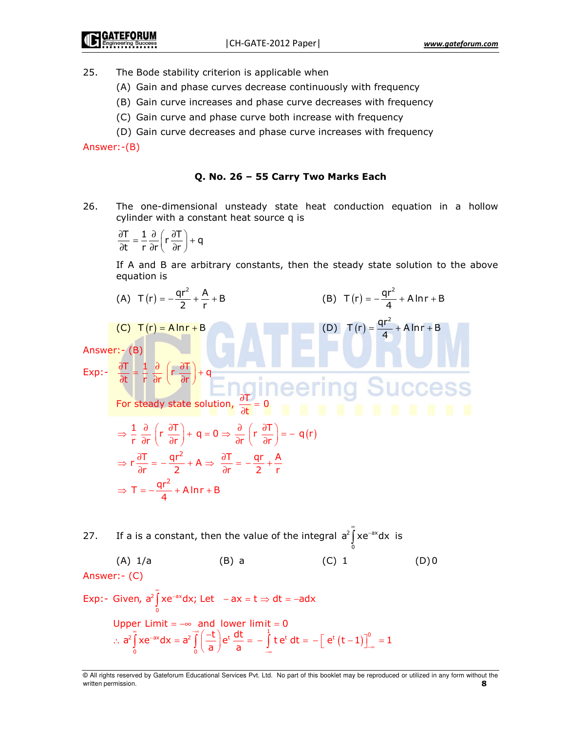- $25.$ The Bode stability criterion is applicable when
	- (A) Gain and phase curves decrease continuously with frequency
	- (B) Gain curve increases and phase curve decreases with frequency
	- (C) Gain curve and phase curve both increase with frequency
	- (D) Gain curve decreases and phase curve increases with frequency

Answer:-(B)

### Q. No. 26 – 55 Carry Two Marks Each

26. The one-dimensional unsteady state heat conduction equation in a hollow cylinder with a constant heat source q is

$$
\frac{\partial T}{\partial t} = \frac{1}{r} \frac{\partial}{\partial r} \left( r \frac{\partial T}{\partial r} \right) + q
$$

If A and B are arbitrary constants, then the steady state solution to the above equation is

(A) 
$$
T(r) = -\frac{qr^2}{2} + \frac{A}{r} + B
$$
  
\n(B)  $T(r) = -\frac{qr^2}{4} + A \ln r + B$   
\n(C)  $T(r) = A \ln r + B$   
\nAnswer: - (B)  
\n
$$
Exp: -\frac{\partial T}{\partial t} = \frac{1}{r} \frac{\partial}{\partial r} \left( r \frac{\partial T}{\partial r} \right) + q
$$
\nFor steady state solution,  $\frac{\partial T}{\partial t} = 0$ 

$$
\Rightarrow \frac{1}{r} \frac{\partial}{\partial r} \left( r \frac{\partial T}{\partial r} \right) + q = 0 \Rightarrow \frac{\partial}{\partial r} \left( r \frac{\partial T}{\partial r} \right) = -q(r)
$$

$$
\Rightarrow r \frac{\partial T}{\partial r} = -\frac{qr^2}{2} + A \Rightarrow \frac{\partial T}{\partial r} = -\frac{qr}{2} + \frac{A}{r}
$$

$$
\Rightarrow T = -\frac{qr^2}{4} + A \ln r + B
$$

27. If a is a constant, then the value of the integral 
$$
a^2 \int_0^{\pi} xe^{-ax} dx
$$
 is  
\n(A) 1/a (B) a (C) 1 (D)0  
\nAnswer:-(C)  
\nExp: - Given,  $a^2 \int_0^{\pi} xe^{-ax} dx$ ; Let  $-ax = t \Rightarrow dt = -adx$   
\nUpper Limit =  $-\infty$  and lower limit = 0  
\n $\therefore a^2 \int_0^{\pi} xe^{-ax} dx = a^2 \int_0^{\pi} \left(\frac{-t}{a}\right) e^t \frac{dt}{a} = -\int_{-\infty}^1 t e^t dt = -\left[e^t (t-1)\right]_{-\infty}^0 = 1$ 

<sup>©</sup> All rights reserved by Gateforum Educational Services Pvt. Ltd. No part of this booklet may be reproduced or utilized in any form without the written permission. **8**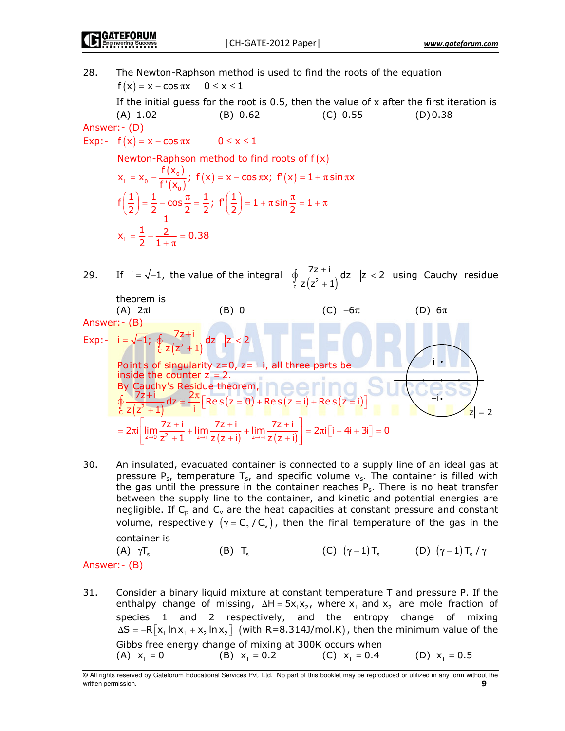GATEFORUN

28. The Newton-Raphson method is used to find the roots of the equation  $f(x) = x - \cos \pi x$   $0 \le x \le 1$ 

If the initial guess for the root is 0.5, then the value of  $\times$  after the first iteration is  $(A) 1.02$  $(B) 0.62$  $(C) 0.55$ 55 (D)0.38

Answer:- (D)

Exp:-  $f(x) = x - \cos \pi x$   $0 \le x \le 1$ 

Newton-Raphson method to find roots of  $f(x)$  $({\sf x}_{{\scriptscriptstyle 0}})$  $(x_1 = x_0 - \frac{f(x_0)}{f'(x_0)})$ ;  $f(x) = x - \cos \pi x$ ;  $f'(x)$  $f\left(\frac{1}{2}\right) = \frac{1}{2} - \cos\frac{\pi}{2} = \frac{1}{2}; f'\left(\frac{1}{2}\right) = 1 + \pi \sin\frac{\pi}{2} = 1$ 1  $x_1 = x_0 - \frac{f(x_0)}{f'(x_0)}$ ;  $f(x) = x - \cos \pi x$ ;  $f'(x) = 1 + \pi \sin \pi x$ 1  $x_1 = \frac{1}{2} - \frac{\overline{2}}{1 + \pi} = 0.38$  $(1)$  1  $\alpha$   $\pi$  1  $\epsilon$   $(1)$  1  $\epsilon$   $\pi$  $\left|\frac{1}{2}\right| = \frac{1}{2} - \cos{\frac{\pi}{2}} = \frac{1}{2}$ ;  $\left| \frac{1}{2}\right| = 1 + \pi \sin{\frac{\pi}{2}} = 1 + \pi$  $(2)$  2 2 2  $(2)$ 

29. If  $i = \sqrt{-1}$ , the value of the integral  $\int_{c}^{J} z (z^{2} + 1)$  $\frac{7z+i}{(z-i)}$  dz  $|z| < 2$  $z(z^2+1)$  $+\mathsf{i}$  dz |z| <  $\oint_c \frac{7z+1}{z(z^2+1)} dz$   $|z| < 2$  using Cauchy residue



 $30.$ An insulated, evacuated container is connected to a supply line of an ideal gas at pressure  $P_{s}$ , temperature  $T_{s}$ , and specific volume  $v_{s}$ . The container is filled with the gas until the pressure in the container reaches  $P_s$ . There is no heat transfer between the supply line to the container, and kinetic and potential energies are negligible. If  $C_p$  and  $C_v$  are the heat capacities at constant pressure and constant volume, respectively  $(\gamma = C_{p}/C_{v})$ , then the final temperature of the gas in the container is

 $(A)$   $\gamma T_s$  $\gamma$ T<sub>s</sub> (B) T<sub>s</sub> (C)  $(\gamma - 1)$ T<sub>s</sub> (D)  $(\gamma - 1)$ T<sub>s</sub> /  $\gamma$ Answer:- (B)

31. Consider a binary liquid mixture at constant temperature T and pressure P. If the enthalpy change of missing,  $\Delta H = 5x_1x_2$ , where  $x_1$  and  $x_2$  are mole fraction of species 1 and 2 respectively, and the entropy change of mixing ∆S = –R $\left[x_1 \ln x_1 + x_2 \ln x_2\right]$  (with R=8.314J/mol.K), then the minimum value of the Gibbs free energy change of mixing at 300K occurs when (A)  $x_1 = 0$  $= 0$  (B)  $x_1 = 0$ . 2 (C)  $x_1 = 0$ . 4 (D)  $x_1 = 0.5$ 

<sup>©</sup> All rights reserved by Gateforum Educational Services Pvt. Ltd. No part of this booklet may be reproduced or utilized in any form without the written permission.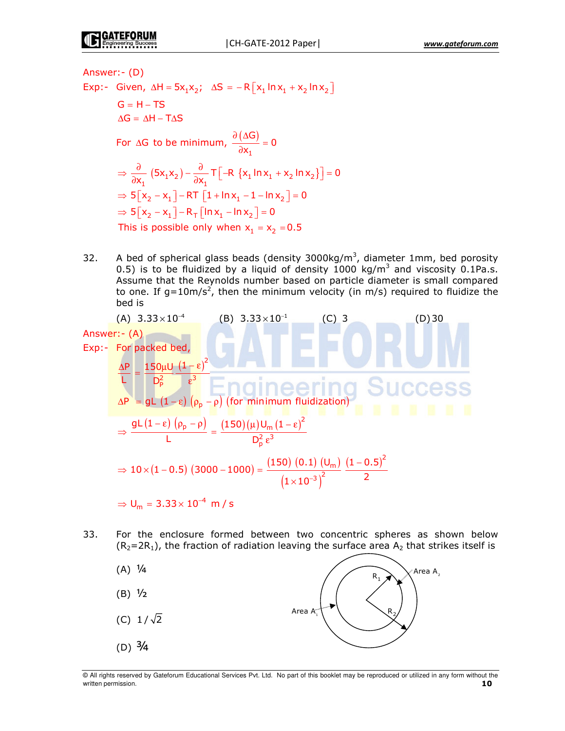Answer:- (D) Exp:- Given,  $\Delta H = 5x_1x_2$ ;  $\Delta S = -R[x_1 \ln x_1 + x_2 \ln x_2]$  $G = H - TS$  $\Delta G = \Delta H - T \Delta S$ For ∆G to be minimum,  $\frac{\partial (\Delta G)}{\partial \Delta}$  $\mathbf 1$  $\frac{\Delta G)}{X_1} = 0$  $\frac{\partial (\Delta G)}{\partial x_1} =$  $\frac{1}{1}$  (5x<sub>1</sub>x<sub>2</sub>) –  $\frac{1}{\partial x_1}$  T  $\left[-R \{x_1 \ln x_1 + x_2 \ln x_2\}\right]$  $\Rightarrow$  5  $\left[x_2 - x_1\right]$  – RT  $\left[1 + \ln x_1 - 1 - \ln x_2\right]$  = 0  $\Rightarrow$  5  $\left[x_2 - x_1\right] - R_\top \left[\ln x_1 - \ln x_2\right] = 0$ This is possible only when  $x_1 = x_2 = 0.5$  $\frac{1}{x_1}(5x_1x_2)-\frac{1}{\partial x_1}T$  -R {x<sub>1</sub> ln x<sub>1</sub> + x<sub>2</sub> ln x<sub>2</sub>} ] = 0  $\Rightarrow \frac{\partial}{\partial x_1} (5x_1x_2) - \frac{\partial}{\partial x_1} \mathsf{T} \left[ -\mathsf{R} \{x_1 \ln x_1 + x_2 \ln x_2\} \right] =$ 

32. A bed of spherical glass beads (density 3000kg/m<sup>3</sup>, diameter 1mm, bed porosity 0.5) is to be fluidized by a liquid of density 1000 kg/m<sup>3</sup> and viscosity 0.1Pa.s. Assume that the Reynolds number based on particle diameter is small compared to one. If g=10m/s<sup>2</sup>, then the minimum velocity (in m/s) required to fluidize the bed is

 <sup>0</sup> - − × ! - − × # &' ()&' 5)+ / ( ) ; ; < F 3 # ∆ µ − ε = ε ∆; = 3 ( − ε) (ρ) − ρ) ( ?) ( ) ( ) ( ) ( ) ( ) ) ) 3 < F 3 # − ε ρ − ρ µ − ε = ε ( ) ( ) ( ) ( ) ( ) ( ) ( ) < - F -< -< − − × − − = × <sup>0</sup> <sup>F</sup> - , <sup>−</sup> = ×

33. For the enclosure formed between two concentric spheres as shown below  $(R_2=2R_1)$ , the fraction of radiation leaving the surface area  $A_2$  that strikes itself is



<sup>©</sup> All rights reserved by Gateforum Educational Services Pvt. Ltd. No part of this booklet may be reproduced or utilized in any form without the written permission. **10**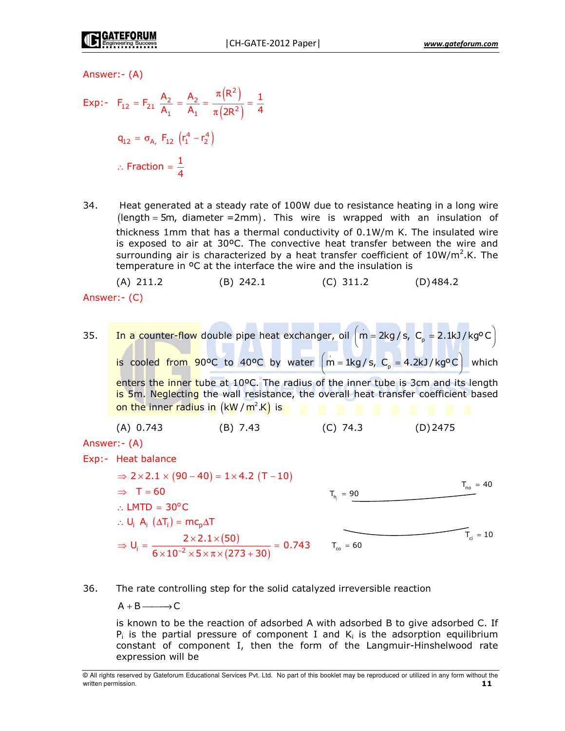$(2)$ 

Answer: - (A)

$$
\text{Exp:} \quad \mathsf{F}_{12} = \mathsf{F}_{21} \ \frac{\mathsf{A}_2}{\mathsf{A}_1} = \frac{\mathsf{A}_2}{\mathsf{A}_1} = \frac{\pi(\mathsf{R}^2)}{\pi(2\mathsf{R}^2)} = \frac{1}{4}
$$
\n
$$
\mathsf{q}_{12} = \sigma_{\mathsf{A}_1} \ \mathsf{F}_{12} \ \left( \mathsf{r}_1^4 - \mathsf{r}_2^4 \right)
$$
\n
$$
\therefore \ \text{Fraction} = \frac{1}{4}
$$

34. Heat generated at a steady rate of 100W due to resistance heating in a long wire  $\theta$  (length = 5m, diameter = 2mm). This wire is wrapped with an insulation of thickness 1mm that has a thermal conductivity of 0.1W/m K. The insulated wire is exposed to air at 30°C. The convective heat transfer between the wire and surrounding air is characterized by a heat transfer coefficient of  $10W/m^2$ .K. The temperature in <sup>o</sup>C at the interface the wire and the insulation is

 $(A)$  211.2  $(B)$  242.1  $(D)$ 484.2  $(C)$  311.2 Answer: (C)

In a counter-flow double pipe heat exchanger, oil  $\left( m = 2kg/s, C_p = 2.1kJ/kg<sup>o</sup>C \right)$ 35. is cooled from 90°C to 40°C by water  $(m = 1kg/s, C_p = 4.2kJ/kg°C)$  which enters the inner tube at 10°C. The radius of the inner tube is 3cm and its length

is 5m. Neglecting the wall resistance, the overall heat transfer coefficient based on the inner radius in  $(kW/m^2.K)$  is

Answer: - (A)

Exp:- Heat balance

 $\Rightarrow$  2 × 2.1 × (90 – 40) = 1 × 4.2 (T – 10)  $T_{no}$  = 40  $\Rightarrow$  T = 60  $T_h = 90$  $\therefore$  LMTD = 30°C  $\therefore$  U<sub>i</sub> A<sub>i</sub> ( $\Delta T_i$ ) = mc<sub>p</sub> ⇒  $U_i = {2 \times 2.1 \times (50) \over 6 \times 10^{-2} \times 5 \times \pi \times (273 + 30)} = 0.743$  $T_{ci} = 10$  $T_{\text{co}} = 60$ 

#### 36. The rate controlling step for the solid catalyzed irreversible reaction

 $A + B$   $\longrightarrow$  C

is known to be the reaction of adsorbed A with adsorbed B to give adsorbed C. If  $P_i$  is the partial pressure of component I and  $K_i$  is the adsorption equilibrium constant of component I, then the form of the Langmuir-Hinshelwood rate expression will be

<sup>@</sup> All rights reserved by Gateforum Educational Services Pvt. Ltd. No part of this booklet may be reproduced or utilized in any form without the written permission.  $11$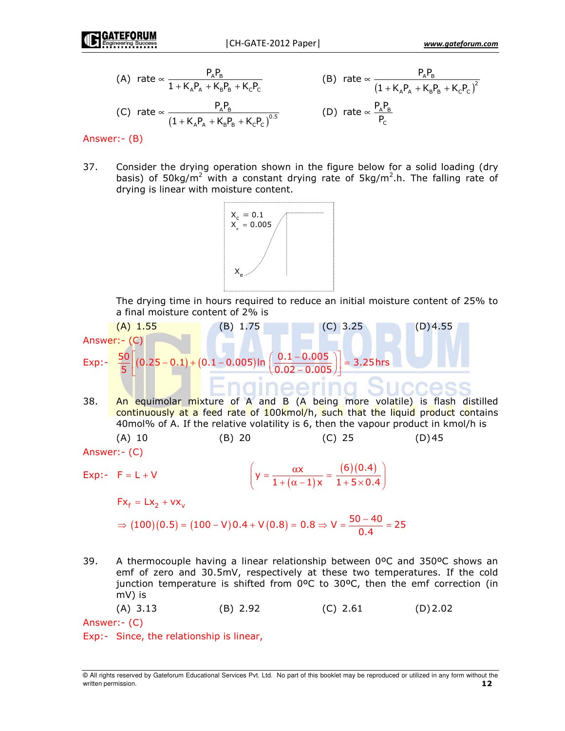(A) rate 
$$
\propto \frac{P_A P_B}{1 + K_A P_A + K_B P_B + K_C P_C}
$$
  
\n(B) rate  $\propto \frac{P_A P_B}{(1 + K_A P_A + K_B P_B + K_C P_C)^2}$   
\n(C) rate  $\propto \frac{P_A P_B}{(1 + K_A P_A + K_B P_B + K_C P_C)^{0.5}}$   
\n(D) rate  $\propto \frac{P_A P_B}{P_C}$ 

Answer: - (B)

37. Consider the drying operation shown in the figure below for a solid loading (dry basis) of 50kg/m<sup>2</sup> with a constant drying rate of 5kg/m<sup>2</sup>.h. The falling rate of drying is linear with moisture content.



The drying time in hours required to reduce an initial moisture content of 25% to a final moisture content of 2% is

Answer: - (c)

\nExp: 
$$
\frac{50}{5} \left[ (0.25 - 0.1) + (0.1 - 0.005) \ln \left( \frac{0.1 - 0.005}{0.02 - 0.005} \right) \right] = 3.25 \text{ hrs}
$$
 (D) 4.55

An equimolar mixture of A and B (A being more volatile) is flash distilled 38. continuously at a feed rate of 100kmol/h, such that the liquid product contains 40mol% of A. If the relative volatility is 6, then the vapour product in kmol/h is  $(B)$  20  $(C)$  25  $(A)$  10  $(D)45$ 

 $\left(y = \frac{\alpha x}{1 + (\alpha - 1)x} = \frac{(6)(0.4)}{1 + 5 \times 0.4}\right)$ 

Answer: - (C)

$$
Exp: -F = L + V
$$

 $Fx_{f} = Lx_{2} + vx_{v}$ 

$$
\Rightarrow (100)(0.5) = (100 - V)0.4 + V(0.8) = 0.8 \Rightarrow V = \frac{50 - 40}{0.4} = 25
$$

39. A thermocouple having a linear relationship between 0°C and 350°C shows an emf of zero and 30.5mV, respectively at these two temperatures. If the cold junction temperature is shifted from 0°C to 30°C, then the emf correction (in  $mV$ ) is

 $(A)$  3.13  $(C)$  2.61  $(B) 2.92$  $(D)$  2.02

Answer: - (C)

Exp:- Since, the relationship is linear,

<sup>@</sup> All rights reserved by Gateforum Educational Services Pvt. Ltd. No part of this booklet may be reproduced or utilized in any form without the written permission.  $12<sub>2</sub>$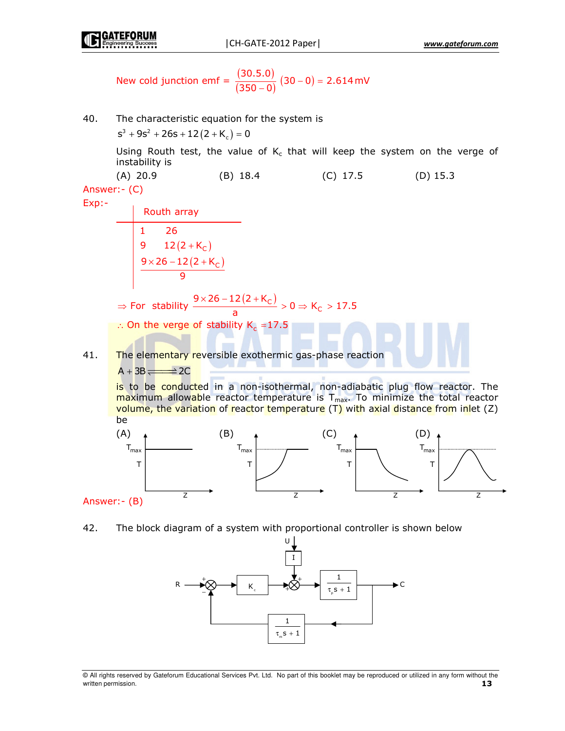

New cold junction emf = 
$$
\frac{(30.5.0)}{(350-0)} (30-0) = 2.614 \text{ mV}
$$

40. The characteristic equation for the system is  
\n
$$
s^3 + 9s^2 + 26s + 12(2 + K_c) = 0
$$
  
\nUsing Routh test, the value of  $K_c$  that will keep the system on the verge of  
\ninstability is  
\n(A) 20.9 (B) 18.4 (C) 17.5 (D) 15.3  
\nAnswer:-(C)  
\n  
\nRouth array  
\n1 26  
\n9 12(2+K<sub>C</sub>)  
\n9 x26-12(2+K<sub>C</sub>)  
\n  
\n⇒ For stability  $\frac{9 \times 26-12(2+K_c)}{a} > 0 \Rightarrow K_c > 17.5$   
\n∴ On the verge of stability  $K_c = 17.5$   
\n∴ On the verge of stability  $K_c = 17.5$   
\n∴ On the verge of stability  $K_c = 17.5$   
\n∴ On the verge of stability  $K_c = 17.5$   
\n∴ On the verge of stability  $K_c = 17.5$   
\n∴ On the verge of stability  $K_c = 17.5$   
\n∴ On the verge of stability  $K_c = 17.5$   
\n∴ On the verge of stability  $K_c = 17.5$   
\n∴ On the verge of stability  $K_c = 17.5$   
\n∴ On the verge of stability  $K_c = 17.5$   
\n∴ On the verge of stability  $K_c = 17.5$   
\n∴ On the average of stability  $K_c = 17.5$   
\n∴ On the average of stability  $K_c = 17.5$   
\n∴ On the average of stability  $K_c = 17.5$   
\n∴ On the average of stability  $K_c = 17.5$   
\n∴ On the average of stability  $K_c = 17.5$   
\n∴ On the average of stability  $K_c = 17.5$   
\n∴ On the average of stability  $K_c = 17.5$   
\n∴ On the average of stability  $K_c = 17.5$   
\n∴ On the average of stability  $K_c = 17.5$   
\n∴ On the average of stability  $K_c = 17.5$   
\n∴ On the average of stability  $K_c = 17.5$   
\n∴ On the average of stability  $K_c = 17.5$   
\n∴ On the average of stability  $K_c = 17.5$   
\n∴ On the average of stability  $K_c$ 

42. The block diagram of a system with proportional controller is shown below



All rights reserved by Gateforum Educational Services Pvt. Ltd. No part of this booklet may be reproduced or utilized in any form without the written permission. 13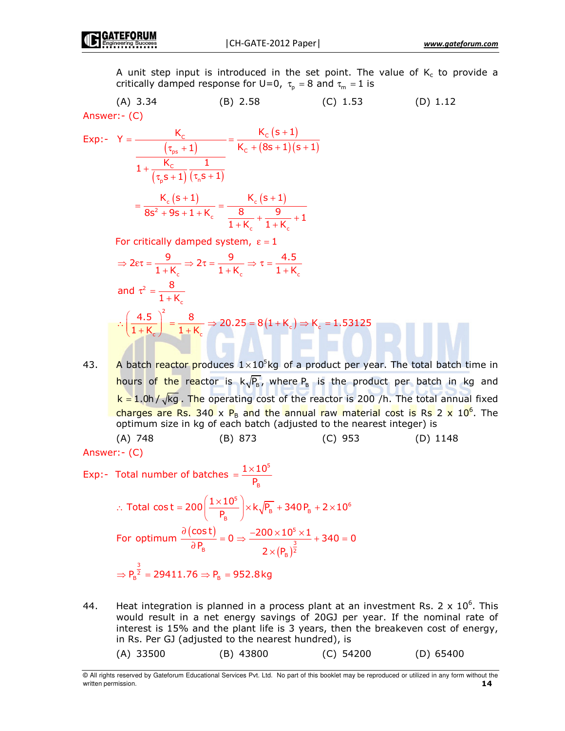A unit step input is introduced in the set point. The value of K<sub>c</sub> to provide a critically damped response for U=0,  $\tau_{\sf p}$  = 8 and  $\tau_{\sf m}$  = 1 is

 -0 ! -<: -< # - &'

$$
Exp:Y = \frac{K_c}{\frac{(\tau_{ps} + 1)}{1 + \frac{K_c}{(\tau_{ps} + 1)}(\tau_{ns} + 1)}} = \frac{K_c (s + 1)}{K_c + (8s + 1)(s + 1)}
$$

$$
= \frac{K_c (s + 1)}{8s^2 + 9s + 1 + K_c} = \frac{K_c (s + 1)}{\frac{8}{1 + K_c} + \frac{9}{1 + K_c} + 1}
$$

For critically damped system,  $\varepsilon = 1$ 

$$
\Rightarrow 2\varepsilon\tau = \frac{9}{1+K_c} \Rightarrow 2\tau = \frac{9}{1+K_c} \Rightarrow \tau = \frac{4.5}{1+K_c}
$$
  
and  $\tau^2 = \frac{8}{1+K_c}$   

$$
\therefore \left(\frac{4.5}{1+K_c}\right)^2 = \frac{8}{1+K_c} \Rightarrow 20.25 = 8(1+K_c) \Rightarrow K_c = 1.53125
$$

43. A batch reactor produces  $1 \times 10^5$ kg of a product per year. The total batch time in <mark>hours of the rea</mark>ctor is  $k\sqrt{P_{\scriptscriptstyle\rm B}}$ , where  $P_{\scriptscriptstyle\rm B}$  is the product per batch in kg and  $\mathsf{k}=1.0$ h /  $\sqrt{\mathsf{k}}$ g . The operating cost of the reactor is 200 /h. The total annual fixed charges are Rs. 340 x  $P_B$  and the annual raw material cost is Rs 2 x 10<sup>6</sup>. The optimum size in kg of each batch (adjusted to the nearest integer) is (A) 748 (B) 873 (C) 953 (D) 1148

Answer:- (C)

$$
Exp: -\text{ Total number of batches } = \frac{1 \times 10^5}{P_B}
$$

$$
\therefore \text{ Total cost} = 200 \left( \frac{1 \times 10^5}{P_B} \right) \times k \sqrt{P_B} + 340 P_B + 2 \times 10^6
$$
\n
$$
\text{For optimum } \frac{\partial (\cos t)}{\partial P_B} = 0 \Rightarrow \frac{-200 \times 10^5 \times 1}{2 \times (P_B)^{\frac{3}{2}}} + 340 = 0
$$
\n
$$
\Rightarrow P_B^{\frac{3}{2}} = 29411.76 \Rightarrow P_B = 952.8 \text{ kg}
$$

44. Heat integration is planned in a process plant at an investment Rs. 2 x  $10^6$ . This would result in a net energy savings of 20GJ per year. If the nominal rate of interest is 15% and the plant life is 3 years, then the breakeven cost of energy, in Rs. Per GJ (adjusted to the nearest hundred), is

 $(A)$  33500  $(B)$  43800  $(C)$  54200  $(D)$  65400

<sup>©</sup> All rights reserved by Gateforum Educational Services Pvt. Ltd. No part of this booklet may be reproduced or utilized in any form without the written permission. **14**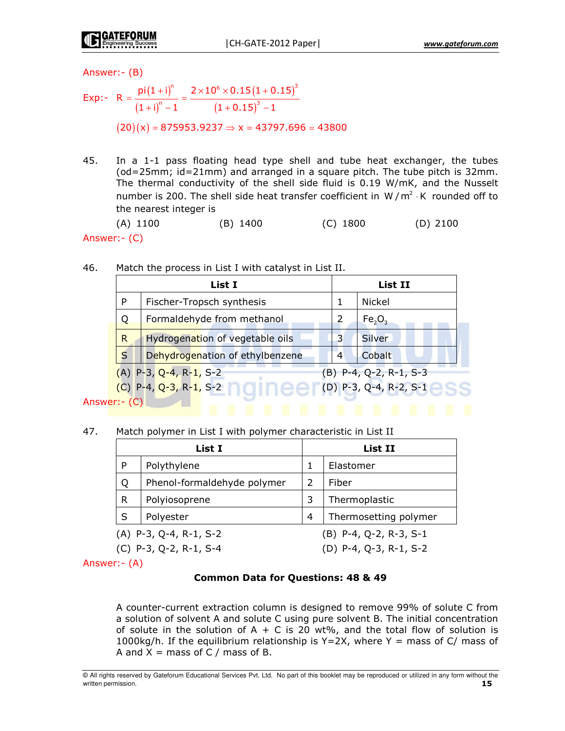Answer: - (B)

$$
\text{Exp:} \quad R = \frac{\text{pi}(1 + \text{i})^n}{(1 + \text{i})^n - 1} = \frac{2 \times 10^6 \times 0.15 (1 + 0.15)^3}{(1 + 0.15)^3 - 1}
$$
\n
$$
(20)(x) = 875953.9237 \Rightarrow x = 43797.696 \approx 43800
$$

45. In a 1-1 pass floating head type shell and tube heat exchanger, the tubes (od=25mm; id=21mm) and arranged in a square pitch. The tube pitch is 32mm. The thermal conductivity of the shell side fluid is 0.19 W/mK, and the Nusselt number is 200. The shell side heat transfer coefficient in W/m<sup>2</sup>  $\cdot$ K rounded off to the nearest integer is

 $(B) 1400$  $(A) 1100$  $(C)$  1800  $(D)$  2100 Answer: (C)

| 46. | Match the process in List I with catalyst in List II. |  |  |  |  |  |  |  |
|-----|-------------------------------------------------------|--|--|--|--|--|--|--|
|-----|-------------------------------------------------------|--|--|--|--|--|--|--|

| List I       |                                 |   | List II                        |  |  |
|--------------|---------------------------------|---|--------------------------------|--|--|
| P            | Fischer-Tropsch synthesis       |   | Nickel                         |  |  |
| Q            | Formaldehyde from methanol      |   | Fe <sub>2</sub> O <sub>3</sub> |  |  |
| $\mathsf{R}$ | Hydrogenation of vegetable oils | 3 | Silver                         |  |  |
| S            | Dehydrogenation of ethylbenzene | 4 | Cobalt                         |  |  |
|              | $(A)$ P-3, Q-4, R-1, S-2        |   | (B) P-4, Q-2, R-1, S-3         |  |  |
|              | $(C)$ P-4, Q-3, R-1, S-2        |   | $[$ (D) P-3, Q-4, R-2, S-1     |  |  |
| $rr - (C)$   |                                 |   |                                |  |  |

Answer: (C)

47. Match polymer in List I with polymer characteristic in List II

| List I                                               |                             |   | List II                  |  |  |
|------------------------------------------------------|-----------------------------|---|--------------------------|--|--|
| P                                                    | Polythylene                 |   | Elastomer                |  |  |
| Q                                                    | Phenol-formaldehyde polymer | 2 | Fiber                    |  |  |
| $\mathsf{R}$                                         | Polyiosoprene               | 3 | Thermoplastic            |  |  |
| S                                                    | Polyester                   | 4 | Thermosetting polymer    |  |  |
| $(B)$ P-4, Q-2, R-3, S-1<br>$(A)$ P-3, Q-4, R-1, S-2 |                             |   |                          |  |  |
| $(C)$ P-3, Q-2, R-1, S-4                             |                             |   | $(D)$ P-4, Q-3, R-1, S-2 |  |  |

Answer: - (A)

### **Common Data for Questions: 48 & 49**

A counter-current extraction column is designed to remove 99% of solute C from a solution of solvent A and solute C using pure solvent B. The initial concentration of solute in the solution of  $A + C$  is 20 wt%, and the total flow of solution is 1000kg/h. If the equilibrium relationship is  $Y=2X$ , where Y = mass of C/ mass of A and  $X =$  mass of C / mass of B.

<sup>@</sup> All rights reserved by Gateforum Educational Services Pvt. Ltd. No part of this booklet may be reproduced or utilized in any form without the written permission. 15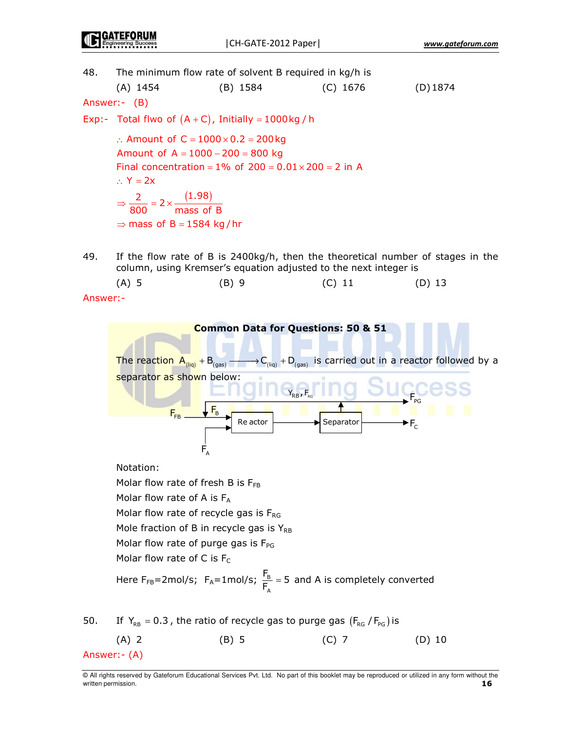48. The minimum flow rate of solvent B required in kg/h is

| (A) 1454             | (B) 1584 | $(C)$ 1676 | $(D)$ 1874 |
|----------------------|----------|------------|------------|
| $\sim$ $\sim$ $\sim$ |          |            |            |

Answer:- (B)

Exp:- Total flwo of  $(A+C)$ , Initially = 1000 kg / h

:. Amount of  $C = 1000 \times 0.2 = 200$  kg Amount of  $A = 1000 - 200 = 800$  kg Final concentration =  $1\%$  of  $200 = 0.01 \times 200 = 2$  in A  $\therefore$  Y = 2x  $\Rightarrow \frac{2}{800} = 2 \times \frac{(1.98)}{\text{mass of B}}$  $\Rightarrow$  mass of B = 1584 kg/hr

49. If the flow rate of B is 2400kg/h, then the theoretical number of stages in the column, using Kremser's equation adjusted to the next integer is

 $(A)$  5  $(B)$  9  $(C) 11$  $(D)$  13

Answer:-



@ All rights reserved by Gateforum Educational Services Pvt. Ltd. No part of this booklet may be reproduced or utilized in any form without the written permission. 16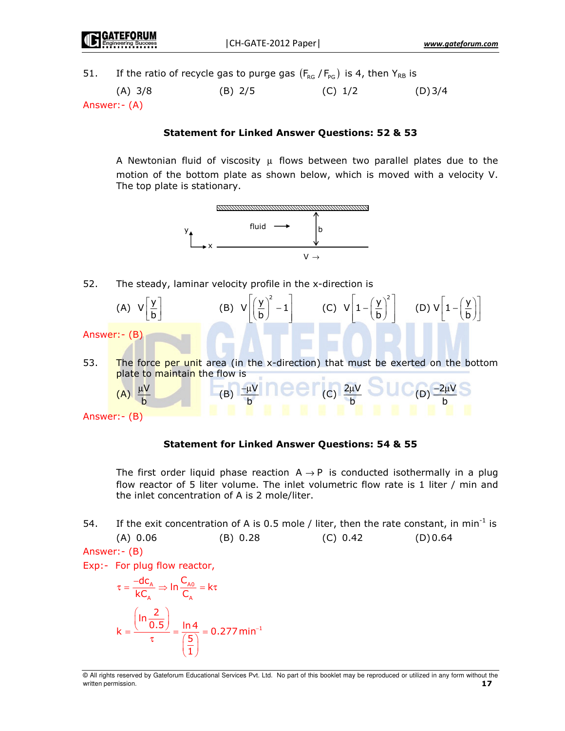If the ratio of recycle gas to purge gas  $(F_{RG}/F_{PG})$  is 4, then  $Y_{RB}$  is 51.

 $(A)$  3/8  $(B)$  2/5  $(C) 1/2$  $(D)$  3/4 Answer: - (A)

## **Statement for Linked Answer Questions: 52 & 53**

A Newtonian fluid of viscosity  $\mu$  flows between two parallel plates due to the motion of the bottom plate as shown below, which is moved with a velocity V. The top plate is stationary.



52. The steady, laminar velocity profile in the x-direction is



Answer: - (B)

# **Statement for Linked Answer Questions: 54 & 55**

The first order liquid phase reaction  $A \rightarrow P$  is conducted isothermally in a plug flow reactor of 5 liter volume. The inlet volumetric flow rate is 1 liter / min and the inlet concentration of A is 2 mole/liter.

54. If the exit concentration of A is 0.5 mole / liter, then the rate constant, in min<sup>-1</sup> is  $(A) 0.06$  $(B) 0.28$  $(C) 0.42$  $(D) 0.64$ 

Answer: - (B)

Exp:- For plug flow reactor,

$$
\tau = \frac{-dc_A}{kC_A} \Rightarrow \ln \frac{C_{A0}}{C_A} = k\tau
$$

$$
k = \frac{\left(\ln \frac{2}{0.5}\right)}{\tau} = \frac{\ln 4}{\left(\frac{5}{1}\right)} = 0.277 \text{ min}^{-1}
$$

<sup>@</sup> All rights reserved by Gateforum Educational Services Pvt. Ltd. No part of this booklet may be reproduced or utilized in any form without the written permission.  $17$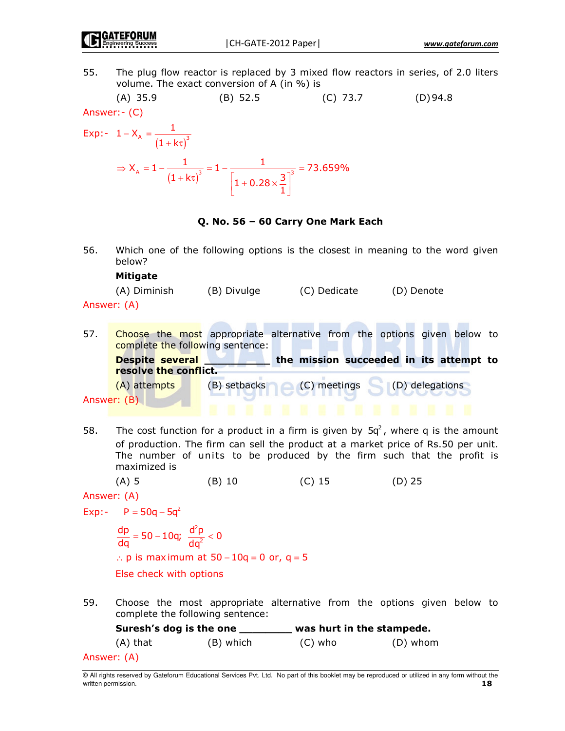55. The plug flow reactor is replaced by 3 mixed flow reactors in series, of 2.0 liters volume. The exact conversion of A (in %) is



$$
1 - X_{A} = \frac{1}{(1 + k\tau)^{3}}
$$
  
\n
$$
\Rightarrow X_{A} = 1 - \frac{1}{(1 + k\tau)^{3}} = 1 - \frac{1}{\left[1 + 0.28 \times \frac{3}{1}\right]^{3}} = 73.659\%
$$

# Q. No. 56 - 60 Carry One Mark Each

56. Which one of the following options is the closest in meaning to the word given below?

# **Mitigate**

| (A) Diminish | (B) Divulge | (C) Dedicate | (D) Denote |
|--------------|-------------|--------------|------------|
|--------------|-------------|--------------|------------|

Answer: (A)

- Choose the most appropriate alternative from the options given below to 57. complete the following sentence: the mission succeeded in its attempt to **Despite several** resolve the conflict. (A) attempts (B) setbacks (C) meetings (D) delegations Answer: (B)
- The cost function for a product in a firm is given by  $5q^2$ , where q is the amount 58. of production. The firm can sell the product at a market price of Rs.50 per unit. The number of units to be produced by the firm such that the profit is maximized is

 $(A)$  5  $(B)$  10  $(C)$  15  $(D)$  25

```
Answer: (A)
```
Exp:-  $P = 50q - 5q^2$ 

 $\frac{dp}{dq} = 50 - 10q$ ;  $\frac{d^2p}{dq^2} < 0$ : p is maximum at  $50 - 10q = 0$  or,  $q = 5$ Else check with options

59. Choose the most appropriate alternative from the options given below to complete the following sentence:

Suresh's dog is the one \_\_\_\_\_\_\_ was hurt in the stampede.  $(A)$  that (B) which  $(C)$  who (D) whom

```
Answer: (A)
```
<sup>@</sup> All rights reserved by Gateforum Educational Services Pvt. Ltd. No part of this booklet may be reproduced or utilized in any form without the written permission. 18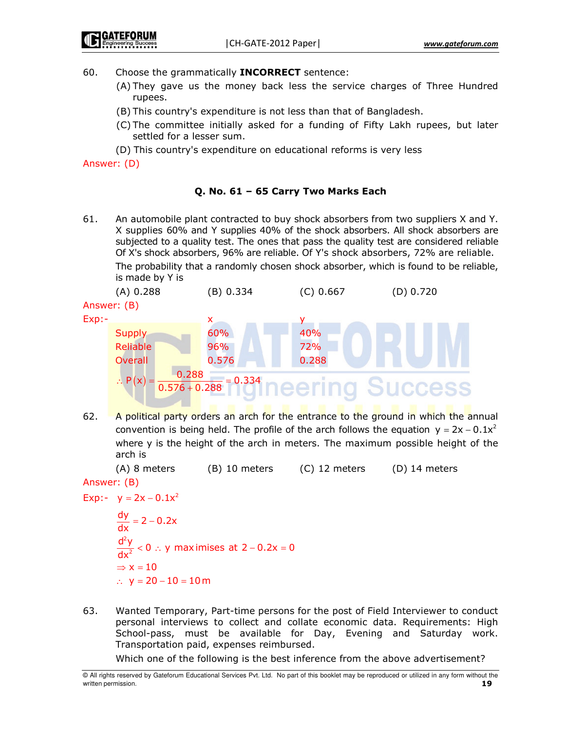60. Choose the grammatically **INCORRECT** sentence:

- (A) They gave us the money back less the service charges of Three Hundred rupees.
- (B) This country's expenditure is not less than that of Bangladesh.
- (C) The committee initially asked for a funding of Fifty Lakh rupees, but later settled for a lesser sum.
- (D) This country's expenditure on educational reforms is very less

Answer: (D)

# Q. No. 61 – 65 Carry Two Marks Each

61. An automobile plant contracted to buy shock absorbers from two suppliers X and Y. X supplies 60% and Y supplies 40% of the shock absorbers. All shock absorbers are subjected to a quality test. The ones that pass the quality test are considered reliable Of X's shock absorbers, 96% are reliable. Of Y's shock absorbers, 72% are reliable.

The probability that a randomly chosen shock absorber, which is found to be reliable, is made by Y is



62. A political party orders an arch for the entrance to the ground in which the annual convention is being held. The profile of the arch follows the equation  $y = 2x - 0.1x^2$ where y is the height of the arch in meters. The maximum possible height of the arch is

(A) 8 mete rs (B) 10 mete rs (C) 12 mete rs (D) 14 meters

```
Answer: (B)
Exp:- y = 2x - 0.1x^2
```

```
2
    2
\frac{dy}{dx} = 2 - 0.2xďy
       < 0 \therefore y maximises at 2 – 0.2x = 0
\mathsf{dx}\Rightarrow x = 10
∴ y = 20 - 10 = 10 m
```
63. Wanted Temporary, Part-time persons for the post of Field Interviewer to conduct personal interviews to collect and collate economic data. Requirements: High School-pass, must be available for Day, Evening and Saturday work. Transportation paid, expenses reimbursed.

Which one of the following is the best inference from the above advertisement?

<sup>©</sup> All rights reserved by Gateforum Educational Services Pvt. Ltd. No part of this booklet may be reproduced or utilized in any form without the written permission. **19**